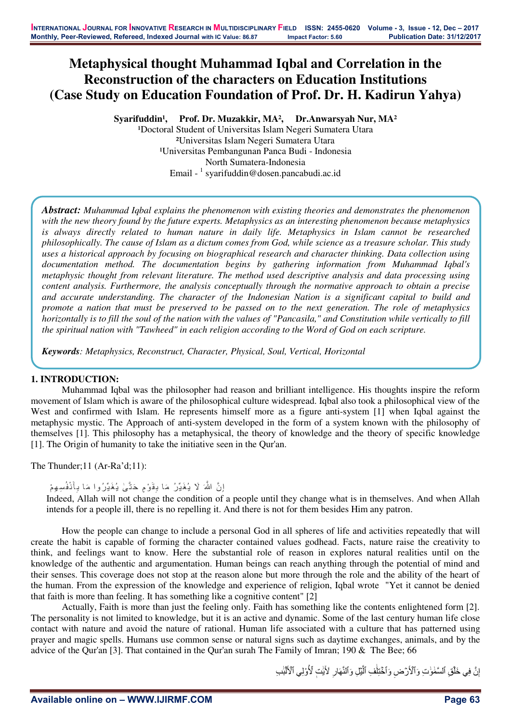# **Metaphysical thought Muhammad Iqbal and Correlation in the Reconstruction of the characters on Education Institutions (Case Study on Education Foundation of Prof. Dr. H. Kadirun Yahya)**

Syarifuddin<sup>1</sup>, Prof. Dr. Muzakkir, MA<sup>2</sup>, Dr.Anwarsyah Nur, MA<sup>2</sup>

<sup>1</sup>Doctoral Student of Universitas Islam Negeri Sumatera Utara ²Universitas Islam Negeri Sumatera Utara ¹Universitas Pembangunan Panca Budi - Indonesia North Sumatera-Indonesia Email - <sup>1</sup> syarifuddin@dosen.pancabudi.ac.id

*Abstract: Muhammad Iqbal explains the phenomenon with existing theories and demonstrates the phenomenon with the new theory found by the future experts. Metaphysics as an interesting phenomenon because metaphysics is always directly related to human nature in daily life. Metaphysics in Islam cannot be researched philosophically. The cause of Islam as a dictum comes from God, while science as a treasure scholar. This study uses a historical approach by focusing on biographical research and character thinking. Data collection using documentation method. The documentation begins by gathering information from Muhammad Iqbal's metaphysic thought from relevant literature. The method used descriptive analysis and data processing using content analysis. Furthermore, the analysis conceptually through the normative approach to obtain a precise and accurate understanding. The character of the Indonesian Nation is a significant capital to build and promote a nation that must be preserved to be passed on to the next generation. The role of metaphysics horizontally is to fill the soul of the nation with the values of "Pancasila," and Constitution while vertically to fill the spiritual nation with "Tawheed" in each religion according to the Word of God on each scripture.* 

*Keywords: Metaphysics, Reconstruct, Character, Physical, Soul, Vertical, Horizontal* 

# **1. INTRODUCTION:**

Muhammad Iqbal was the philosopher had reason and brilliant intelligence. His thoughts inspire the reform movement of Islam which is aware of the philosophical culture widespread. Iqbal also took a philosophical view of the West and confirmed with Islam. He represents himself more as a figure anti-system [1] when Iqbal against the metaphysic mystic. The Approach of anti-system developed in the form of a system known with the philosophy of themselves [1]. This philosophy has a metaphysical, the theory of knowledge and the theory of specific knowledge [1]. The Origin of humanity to take the initiative seen in the Qur'an.

The Thunder;11 (Ar-Ra'd;11):

```
إِنَّ اللَّهَ لَا يُغَيِّرُ مَا بِقَوْمٍ حَتَّىٰ يُغَيِّرُوا مَا بِأَنْفُسِهِمْ
˴
  ˶
                                                                        ˶
```
Indeed, Allah will not change the condition of a people until they change what is in themselves. And when Allah intends for a people ill, there is no repelling it. And there is not for them besides Him any patron.

How the people can change to include a personal God in all spheres of life and activities repeatedly that will create the habit is capable of forming the character contained values godhead. Facts, nature raise the creativity to think, and feelings want to know. Here the substantial role of reason in explores natural realities until on the knowledge of the authentic and argumentation. Human beings can reach anything through the potential of mind and their senses. This coverage does not stop at the reason alone but more through the role and the ability of the heart of the human. From the expression of the knowledge and experience of religion, Iqbal wrote "Yet it cannot be denied that faith is more than feeling. It has something like a cognitive content" [2]

Actually, Faith is more than just the feeling only. Faith has something like the contents enlightened form [2]. The personality is not limited to knowledge, but it is an active and dynamic. Some of the last century human life close contact with nature and avoid the nature of rational. Human life associated with a culture that has patterned using prayer and magic spells. Humans use common sense or natural signs such as daytime exchanges, animals, and by the advice of the Qur'an [3]. That contained in the Qur'an surah The Family of Imran; 190 & The Bee; 66

> إِنَّ فِي خَلْقِ ٱلْسَّمَٰوَٰتِ وَٱلْأَرْضِ وَٱخْتِلَٰفِ ٱلَّٰيْلِ وَٱلنَّهَارِ لِأَيْتِ لِّأُوْلِي ٱلْأَلْبَٰبِ Ի Ի ˶ Ի ˶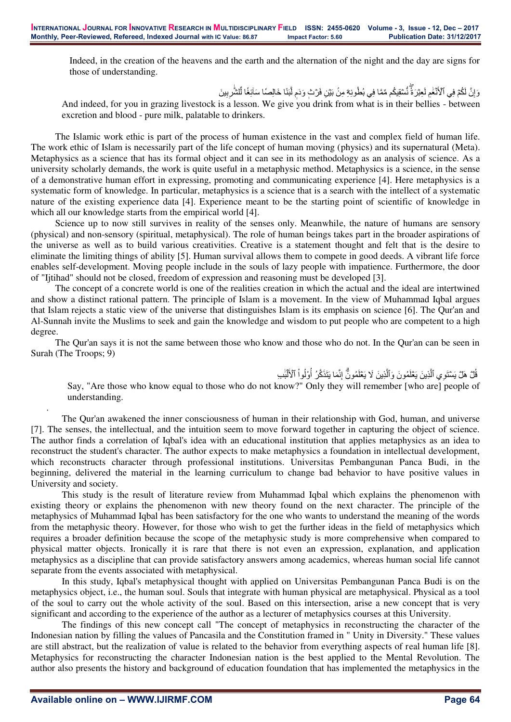Indeed, in the creation of the heavens and the earth and the alternation of the night and the day are signs for those of understanding.

> وَإِنَّ لَكُمْ فِي ٱلْأَنْعَٰمِ لَعِبْرَةٌ نُّسْقِيكُم مِّمَّا فِي بُطُونِهِۖ مِنْ بَيْنِ فَرْبْ وَدَمِ لَبَنًا خَالِصَٰا سَاَئِغًا لِّلشَّٰرِبِينَ ͉ ˶ ˶ Ի

And indeed, for you in grazing livestock is a lesson. We give you drink from what is in their bellies - between excretion and blood - pure milk, palatable to drinkers.

The Islamic work ethic is part of the process of human existence in the vast and complex field of human life. The work ethic of Islam is necessarily part of the life concept of human moving (physics) and its supernatural (Meta). Metaphysics as a science that has its formal object and it can see in its methodology as an analysis of science. As a university scholarly demands, the work is quite useful in a metaphysic method. Metaphysics is a science, in the sense of a demonstrative human effort in expressing, promoting and communicating experience [4]. Here metaphysics is a systematic form of knowledge. In particular, metaphysics is a science that is a search with the intellect of a systematic nature of the existing experience data [4]. Experience meant to be the starting point of scientific of knowledge in which all our knowledge starts from the empirical world [4].

Science up to now still survives in reality of the senses only. Meanwhile, the nature of humans are sensory (physical) and non-sensory (spiritual, metaphysical). The role of human beings takes part in the broader aspirations of the universe as well as to build various creativities. Creative is a statement thought and felt that is the desire to eliminate the limiting things of ability [5]. Human survival allows them to compete in good deeds. A vibrant life force enables self-development. Moving people include in the souls of lazy people with impatience. Furthermore, the door of "Ijtihad" should not be closed, freedom of expression and reasoning must be developed [3].

The concept of a concrete world is one of the realities creation in which the actual and the ideal are intertwined and show a distinct rational pattern. The principle of Islam is a movement. In the view of Muhammad Iqbal argues that Islam rejects a static view of the universe that distinguishes Islam is its emphasis on science [6]. The Qur'an and Al-Sunnah invite the Muslims to seek and gain the knowledge and wisdom to put people who are competent to a high degree.

The Qur'an says it is not the same between those who know and those who do not. In the Qur'an can be seen in Surah (The Troops; 9)

> قُلْ هَلْ يَسْتَوِي ٱلَّذِينَ يَعْلَمُونَ وَٱلَّذِينَ لَا يَعْلَمُونَّ إِنَّمَا يَتَذَكَّرُ أُوْلُواْ ٱلْأَلْبَٰب Ի ˵ ͉ ͉

Say, "Are those who know equal to those who do not know?" Only they will remember [who are] people of understanding.

The Qur'an awakened the inner consciousness of human in their relationship with God, human, and universe [7]. The senses, the intellectual, and the intuition seem to move forward together in capturing the object of science. The author finds a correlation of Iqbal's idea with an educational institution that applies metaphysics as an idea to reconstruct the student's character. The author expects to make metaphysics a foundation in intellectual development, which reconstructs character through professional institutions. Universitas Pembangunan Panca Budi, in the beginning, delivered the material in the learning curriculum to change bad behavior to have positive values in University and society.

This study is the result of literature review from Muhammad Iqbal which explains the phenomenon with existing theory or explains the phenomenon with new theory found on the next character. The principle of the metaphysics of Muhammad Iqbal has been satisfactory for the one who wants to understand the meaning of the words from the metaphysic theory. However, for those who wish to get the further ideas in the field of metaphysics which requires a broader definition because the scope of the metaphysic study is more comprehensive when compared to physical matter objects. Ironically it is rare that there is not even an expression, explanation, and application metaphysics as a discipline that can provide satisfactory answers among academics, whereas human social life cannot separate from the events associated with metaphysical.

In this study, Iqbal's metaphysical thought with applied on Universitas Pembangunan Panca Budi is on the metaphysics object, i.e., the human soul. Souls that integrate with human physical are metaphysical. Physical as a tool of the soul to carry out the whole activity of the soul. Based on this intersection, arise a new concept that is very significant and according to the experience of the author as a lecturer of metaphysics courses at this University.

The findings of this new concept call "The concept of metaphysics in reconstructing the character of the Indonesian nation by filling the values of Pancasila and the Constitution framed in " Unity in Diversity." These values are still abstract, but the realization of value is related to the behavior from everything aspects of real human life [8]. Metaphysics for reconstructing the character Indonesian nation is the best applied to the Mental Revolution. The author also presents the history and background of education foundation that has implemented the metaphysics in the

.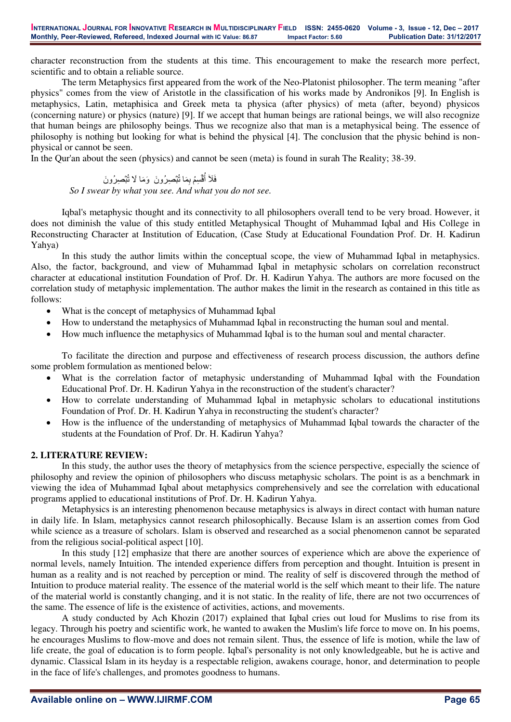character reconstruction from the students at this time. This encouragement to make the research more perfect, scientific and to obtain a reliable source.

The term Metaphysics first appeared from the work of the Neo-Platonist philosopher. The term meaning "after physics" comes from the view of Aristotle in the classification of his works made by Andronikos [9]. In English is metaphysics, Latin, metaphisica and Greek meta ta physica (after physics) of meta (after, beyond) physicos (concerning nature) or physics (nature) [9]. If we accept that human beings are rational beings, we will also recognize that human beings are philosophy beings. Thus we recognize also that man is a metaphysical being. The essence of philosophy is nothing but looking for what is behind the physical [4]. The conclusion that the physic behind is nonphysical or cannot be seen.

In the Qur'an about the seen (physics) and cannot be seen (meta) is found in surah The Reality; 38-39.

# فَلَا أُقْسِمُ بِمَا تُبْصِرُونَ ۖ وَمَا لَا تُبْصِرُونَ *So I swear by what you see. And what you do not see.*

Iqbal's metaphysic thought and its connectivity to all philosophers overall tend to be very broad. However, it does not diminish the value of this study entitled Metaphysical Thought of Muhammad Iqbal and His College in Reconstructing Character at Institution of Education, (Case Study at Educational Foundation Prof. Dr. H. Kadirun Yahya)

In this study the author limits within the conceptual scope, the view of Muhammad Iqbal in metaphysics. Also, the factor, background, and view of Muhammad Iqbal in metaphysic scholars on correlation reconstruct character at educational institution Foundation of Prof. Dr. H. Kadirun Yahya. The authors are more focused on the correlation study of metaphysic implementation. The author makes the limit in the research as contained in this title as follows:

- What is the concept of metaphysics of Muhammad Iqbal
- How to understand the metaphysics of Muhammad Iqbal in reconstructing the human soul and mental.
- How much influence the metaphysics of Muhammad Iqbal is to the human soul and mental character.

To facilitate the direction and purpose and effectiveness of research process discussion, the authors define some problem formulation as mentioned below:

- What is the correlation factor of metaphysic understanding of Muhammad Iqbal with the Foundation Educational Prof. Dr. H. Kadirun Yahya in the reconstruction of the student's character?
- How to correlate understanding of Muhammad Iqbal in metaphysic scholars to educational institutions Foundation of Prof. Dr. H. Kadirun Yahya in reconstructing the student's character?
- How is the influence of the understanding of metaphysics of Muhammad Iqbal towards the character of the students at the Foundation of Prof. Dr. H. Kadirun Yahya?

# **2. LITERATURE REVIEW:**

In this study, the author uses the theory of metaphysics from the science perspective, especially the science of philosophy and review the opinion of philosophers who discuss metaphysic scholars. The point is as a benchmark in viewing the idea of Muhammad Iqbal about metaphysics comprehensively and see the correlation with educational programs applied to educational institutions of Prof. Dr. H. Kadirun Yahya.

Metaphysics is an interesting phenomenon because metaphysics is always in direct contact with human nature in daily life. In Islam, metaphysics cannot research philosophically. Because Islam is an assertion comes from God while science as a treasure of scholars. Islam is observed and researched as a social phenomenon cannot be separated from the religious social-political aspect [10].

In this study [12] emphasize that there are another sources of experience which are above the experience of normal levels, namely Intuition. The intended experience differs from perception and thought. Intuition is present in human as a reality and is not reached by perception or mind. The reality of self is discovered through the method of Intuition to produce material reality. The essence of the material world is the self which meant to their life. The nature of the material world is constantly changing, and it is not static. In the reality of life, there are not two occurrences of the same. The essence of life is the existence of activities, actions, and movements.

A study conducted by Ach Khozin (2017) explained that Iqbal cries out loud for Muslims to rise from its legacy. Through his poetry and scientific work, he wanted to awaken the Muslim's life force to move on. In his poems, he encourages Muslims to flow-move and does not remain silent. Thus, the essence of life is motion, while the law of life create, the goal of education is to form people. Iqbal's personality is not only knowledgeable, but he is active and dynamic. Classical Islam in its heyday is a respectable religion, awakens courage, honor, and determination to people in the face of life's challenges, and promotes goodness to humans.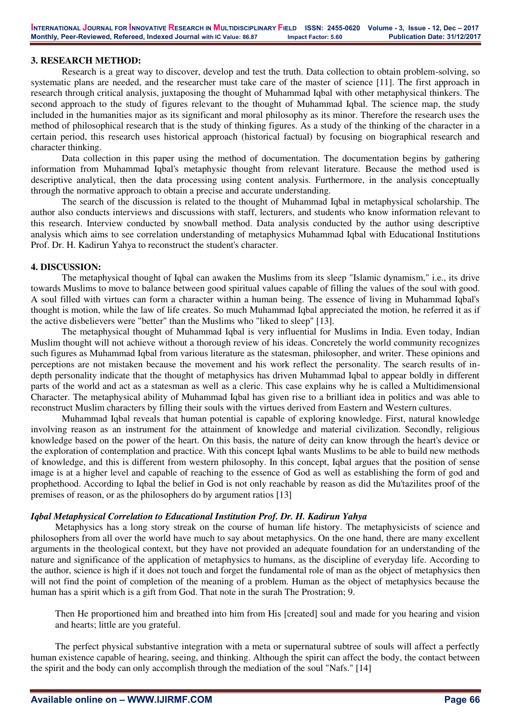# **3. RESEARCH METHOD:**

Research is a great way to discover, develop and test the truth. Data collection to obtain problem-solving, so systematic plans are needed, and the researcher must take care of the master of science [11]. The first approach in research through critical analysis, juxtaposing the thought of Muhammad Iqbal with other metaphysical thinkers. The second approach to the study of figures relevant to the thought of Muhammad Iqbal. The science map, the study included in the humanities major as its significant and moral philosophy as its minor. Therefore the research uses the method of philosophical research that is the study of thinking figures. As a study of the thinking of the character in a certain period, this research uses historical approach (historical factual) by focusing on biographical research and character thinking.

Data collection in this paper using the method of documentation. The documentation begins by gathering information from Muhammad Iqbal's metaphysic thought from relevant literature. Because the method used is descriptive analytical, then the data processing using content analysis. Furthermore, in the analysis conceptually through the normative approach to obtain a precise and accurate understanding.

The search of the discussion is related to the thought of Muhammad Iqbal in metaphysical scholarship. The author also conducts interviews and discussions with staff, lecturers, and students who know information relevant to this research. Interview conducted by snowball method. Data analysis conducted by the author using descriptive analysis which aims to see correlation understanding of metaphysics Muhammad Iqbal with Educational Institutions Prof. Dr. H. Kadirun Yahya to reconstruct the student's character.

#### **4. DISCUSSION:**

The metaphysical thought of Iqbal can awaken the Muslims from its sleep "Islamic dynamism," i.e., its drive towards Muslims to move to balance between good spiritual values capable of filling the values of the soul with good. A soul filled with virtues can form a character within a human being. The essence of living in Muhammad Iqbal's thought is motion, while the law of life creates. So much Muhammad Iqbal appreciated the motion, he referred it as if the active disbelievers were "better" than the Muslims who "liked to sleep" [13].

The metaphysical thought of Muhammad Iqbal is very influential for Muslims in India. Even today, Indian Muslim thought will not achieve without a thorough review of his ideas. Concretely the world community recognizes such figures as Muhammad Iqbal from various literature as the statesman, philosopher, and writer. These opinions and perceptions are not mistaken because the movement and his work reflect the personality. The search results of indepth personality indicate that the thought of metaphysics has driven Muhammad Iqbal to appear boldly in different parts of the world and act as a statesman as well as a cleric. This case explains why he is called a Multidimensional Character. The metaphysical ability of Muhammad Iqbal has given rise to a brilliant idea in politics and was able to reconstruct Muslim characters by filling their souls with the virtues derived from Eastern and Western cultures.

Muhammad Iqbal reveals that human potential is capable of exploring knowledge. First, natural knowledge involving reason as an instrument for the attainment of knowledge and material civilization. Secondly, religious knowledge based on the power of the heart. On this basis, the nature of deity can know through the heart's device or the exploration of contemplation and practice. With this concept Iqbal wants Muslims to be able to build new methods of knowledge, and this is different from western philosophy. In this concept, Iqbal argues that the position of sense image is at a higher level and capable of reaching to the essence of God as well as establishing the form of god and prophethood. According to Iqbal the belief in God is not only reachable by reason as did the Mu'tazilites proof of the premises of reason, or as the philosophers do by argument ratios [13]

#### *Iqbal Metaphysical Correlation to Educational Institution Prof. Dr. H. Kadirun Yahya*

Metaphysics has a long story streak on the course of human life history. The metaphysicists of science and philosophers from all over the world have much to say about metaphysics. On the one hand, there are many excellent arguments in the theological context, but they have not provided an adequate foundation for an understanding of the nature and significance of the application of metaphysics to humans, as the discipline of everyday life. According to the author, science is high if it does not touch and forget the fundamental role of man as the object of metaphysics then will not find the point of completion of the meaning of a problem. Human as the object of metaphysics because the human has a spirit which is a gift from God. That note in the surah The Prostration; 9.

Then He proportioned him and breathed into him from His [created] soul and made for you hearing and vision and hearts; little are you grateful.

The perfect physical substantive integration with a meta or supernatural subtree of souls will affect a perfectly human existence capable of hearing, seeing, and thinking. Although the spirit can affect the body, the contact between the spirit and the body can only accomplish through the mediation of the soul "Nafs." [14]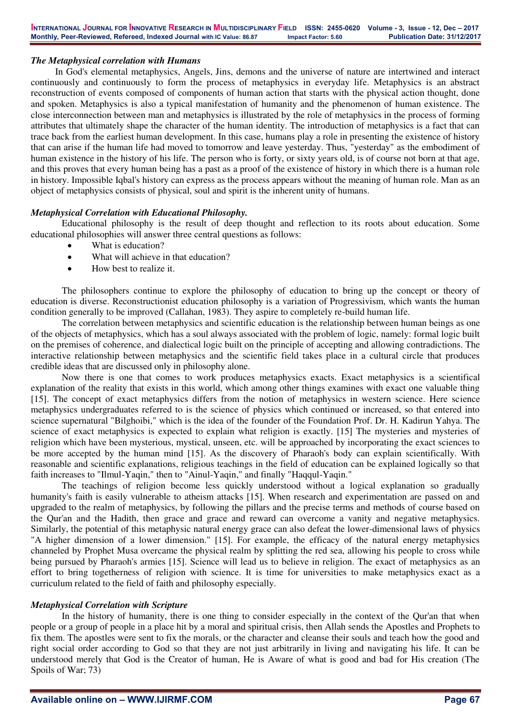# *The Metaphysical correlation with Humans*

In God's elemental metaphysics, Angels, Jins, demons and the universe of nature are intertwined and interact continuously and continuously to form the process of metaphysics in everyday life. Metaphysics is an abstract reconstruction of events composed of components of human action that starts with the physical action thought, done and spoken. Metaphysics is also a typical manifestation of humanity and the phenomenon of human existence. The close interconnection between man and metaphysics is illustrated by the role of metaphysics in the process of forming attributes that ultimately shape the character of the human identity. The introduction of metaphysics is a fact that can trace back from the earliest human development. In this case, humans play a role in presenting the existence of history that can arise if the human life had moved to tomorrow and leave yesterday. Thus, "yesterday" as the embodiment of human existence in the history of his life. The person who is forty, or sixty years old, is of course not born at that age, and this proves that every human being has a past as a proof of the existence of history in which there is a human role in history. Impossible Iqbal's history can express as the process appears without the meaning of human role. Man as an object of metaphysics consists of physical, soul and spirit is the inherent unity of humans.

# *Metaphysical Correlation with Educational Philosophy.*

Educational philosophy is the result of deep thought and reflection to its roots about education. Some educational philosophies will answer three central questions as follows:

- What is education?
- What will achieve in that education?
- How best to realize it.

The philosophers continue to explore the philosophy of education to bring up the concept or theory of education is diverse. Reconstructionist education philosophy is a variation of Progressivism, which wants the human condition generally to be improved (Callahan, 1983). They aspire to completely re-build human life.

The correlation between metaphysics and scientific education is the relationship between human beings as one of the objects of metaphysics, which has a soul always associated with the problem of logic, namely: formal logic built on the premises of coherence, and dialectical logic built on the principle of accepting and allowing contradictions. The interactive relationship between metaphysics and the scientific field takes place in a cultural circle that produces credible ideas that are discussed only in philosophy alone.

Now there is one that comes to work produces metaphysics exacts. Exact metaphysics is a scientifical explanation of the reality that exists in this world, which among other things examines with exact one valuable thing [15]. The concept of exact metaphysics differs from the notion of metaphysics in western science. Here science metaphysics undergraduates referred to is the science of physics which continued or increased, so that entered into science supernatural "Bilghoibi," which is the idea of the founder of the Foundation Prof. Dr. H. Kadirun Yahya. The science of exact metaphysics is expected to explain what religion is exactly. [15] The mysteries and mysteries of religion which have been mysterious, mystical, unseen, etc. will be approached by incorporating the exact sciences to be more accepted by the human mind [15]. As the discovery of Pharaoh's body can explain scientifically. With reasonable and scientific explanations, religious teachings in the field of education can be explained logically so that faith increases to "Ilmul-Yaqin," then to "Ainul-Yaqin," and finally "Haqqul-Yaqin."

The teachings of religion become less quickly understood without a logical explanation so gradually humanity's faith is easily vulnerable to atheism attacks [15]. When research and experimentation are passed on and upgraded to the realm of metaphysics, by following the pillars and the precise terms and methods of course based on the Qur'an and the Hadith, then grace and grace and reward can overcome a vanity and negative metaphysics. Similarly, the potential of this metaphysic natural energy grace can also defeat the lower-dimensional laws of physics "A higher dimension of a lower dimension." [15]. For example, the efficacy of the natural energy metaphysics channeled by Prophet Musa overcame the physical realm by splitting the red sea, allowing his people to cross while being pursued by Pharaoh's armies [15]. Science will lead us to believe in religion. The exact of metaphysics as an effort to bring togetherness of religion with science. It is time for universities to make metaphysics exact as a curriculum related to the field of faith and philosophy especially.

#### *Metaphysical Correlation with Scripture*

In the history of humanity, there is one thing to consider especially in the context of the Qur'an that when people or a group of people in a place hit by a moral and spiritual crisis, then Allah sends the Apostles and Prophets to fix them. The apostles were sent to fix the morals, or the character and cleanse their souls and teach how the good and right social order according to God so that they are not just arbitrarily in living and navigating his life. It can be understood merely that God is the Creator of human, He is Aware of what is good and bad for His creation (The Spoils of War; 73)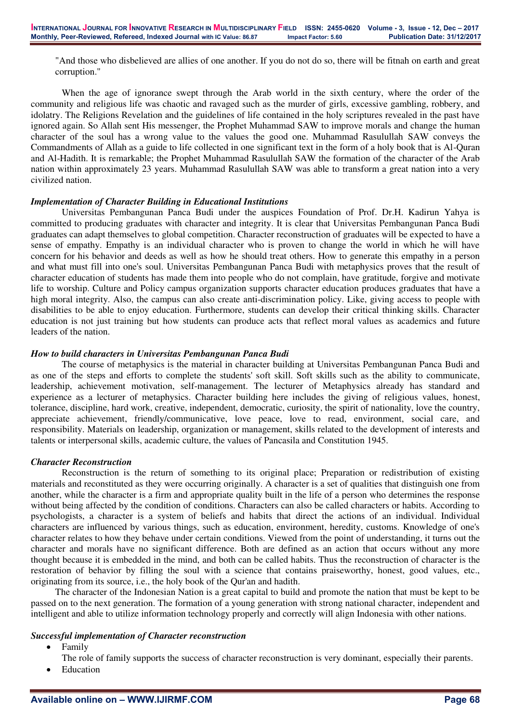"And those who disbelieved are allies of one another. If you do not do so, there will be fitnah on earth and great corruption."

When the age of ignorance swept through the Arab world in the sixth century, where the order of the community and religious life was chaotic and ravaged such as the murder of girls, excessive gambling, robbery, and idolatry. The Religions Revelation and the guidelines of life contained in the holy scriptures revealed in the past have ignored again. So Allah sent His messenger, the Prophet Muhammad SAW to improve morals and change the human character of the soul has a wrong value to the values the good one. Muhammad Rasulullah SAW conveys the Commandments of Allah as a guide to life collected in one significant text in the form of a holy book that is Al-Quran and Al-Hadith. It is remarkable; the Prophet Muhammad Rasulullah SAW the formation of the character of the Arab nation within approximately 23 years. Muhammad Rasulullah SAW was able to transform a great nation into a very civilized nation.

#### *Implementation of Character Building in Educational Institutions*

Universitas Pembangunan Panca Budi under the auspices Foundation of Prof. Dr.H. Kadirun Yahya is committed to producing graduates with character and integrity. It is clear that Universitas Pembangunan Panca Budi graduates can adapt themselves to global competition. Character reconstruction of graduates will be expected to have a sense of empathy. Empathy is an individual character who is proven to change the world in which he will have concern for his behavior and deeds as well as how he should treat others. How to generate this empathy in a person and what must fill into one's soul. Universitas Pembangunan Panca Budi with metaphysics proves that the result of character education of students has made them into people who do not complain, have gratitude, forgive and motivate life to worship. Culture and Policy campus organization supports character education produces graduates that have a high moral integrity. Also, the campus can also create anti-discrimination policy. Like, giving access to people with disabilities to be able to enjoy education. Furthermore, students can develop their critical thinking skills. Character education is not just training but how students can produce acts that reflect moral values as academics and future leaders of the nation.

#### *How to build characters in Universitas Pembangunan Panca Budi*

The course of metaphysics is the material in character building at Universitas Pembangunan Panca Budi and as one of the steps and efforts to complete the students' soft skill. Soft skills such as the ability to communicate, leadership, achievement motivation, self-management. The lecturer of Metaphysics already has standard and experience as a lecturer of metaphysics. Character building here includes the giving of religious values, honest, tolerance, discipline, hard work, creative, independent, democratic, curiosity, the spirit of nationality, love the country, appreciate achievement, friendly/communicative, love peace, love to read, environment, social care, and responsibility. Materials on leadership, organization or management, skills related to the development of interests and talents or interpersonal skills, academic culture, the values of Pancasila and Constitution 1945.

#### *Character Reconstruction*

Reconstruction is the return of something to its original place; Preparation or redistribution of existing materials and reconstituted as they were occurring originally. A character is a set of qualities that distinguish one from another, while the character is a firm and appropriate quality built in the life of a person who determines the response without being affected by the condition of conditions. Characters can also be called characters or habits. According to psychologists, a character is a system of beliefs and habits that direct the actions of an individual. Individual characters are influenced by various things, such as education, environment, heredity, customs. Knowledge of one's character relates to how they behave under certain conditions. Viewed from the point of understanding, it turns out the character and morals have no significant difference. Both are defined as an action that occurs without any more thought because it is embedded in the mind, and both can be called habits. Thus the reconstruction of character is the restoration of behavior by filling the soul with a science that contains praiseworthy, honest, good values, etc., originating from its source, i.e., the holy book of the Qur'an and hadith.

The character of the Indonesian Nation is a great capital to build and promote the nation that must be kept to be passed on to the next generation. The formation of a young generation with strong national character, independent and intelligent and able to utilize information technology properly and correctly will align Indonesia with other nations.

#### *Successful implementation of Character reconstruction*

- Family
- The role of family supports the success of character reconstruction is very dominant, especially their parents.
- Education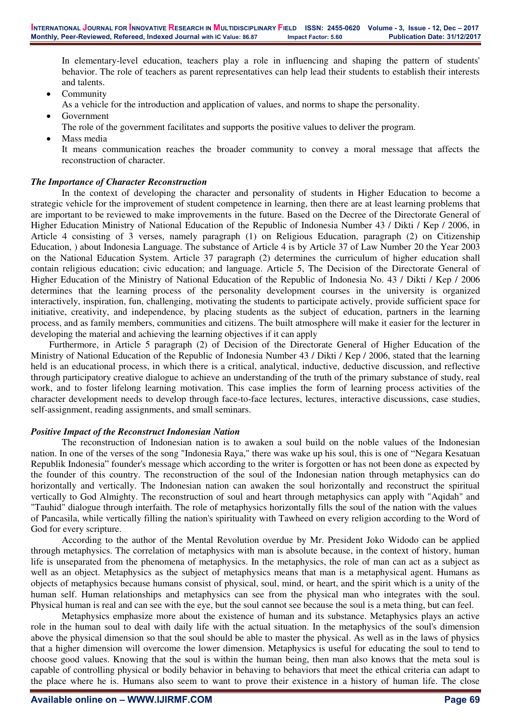In elementary-level education, teachers play a role in influencing and shaping the pattern of students' behavior. The role of teachers as parent representatives can help lead their students to establish their interests and talents.

- Community
- As a vehicle for the introduction and application of values, and norms to shape the personality.
- Government
- The role of the government facilitates and supports the positive values to deliver the program.
- Mass media
- It means communication reaches the broader community to convey a moral message that affects the reconstruction of character.

# *The Importance of Character Reconstruction*

In the context of developing the character and personality of students in Higher Education to become a strategic vehicle for the improvement of student competence in learning, then there are at least learning problems that are important to be reviewed to make improvements in the future. Based on the Decree of the Directorate General of Higher Education Ministry of National Education of the Republic of Indonesia Number 43 / Dikti / Kep / 2006, in Article 4 consisting of 3 verses, namely paragraph (1) on Religious Education, paragraph (2) on Citizenship Education, ) about Indonesia Language. The substance of Article 4 is by Article 37 of Law Number 20 the Year 2003 on the National Education System. Article 37 paragraph (2) determines the curriculum of higher education shall contain religious education; civic education; and language. Article 5, The Decision of the Directorate General of Higher Education of the Ministry of National Education of the Republic of Indonesia No. 43 / Dikti / Kep / 2006 determines that the learning process of the personality development courses in the university is organized interactively, inspiration, fun, challenging, motivating the students to participate actively, provide sufficient space for initiative, creativity, and independence, by placing students as the subject of education, partners in the learning process, and as family members, communities and citizens. The built atmosphere will make it easier for the lecturer in developing the material and achieving the learning objectives if it can apply

Furthermore, in Article 5 paragraph (2) of Decision of the Directorate General of Higher Education of the Ministry of National Education of the Republic of Indonesia Number 43 / Dikti / Kep / 2006, stated that the learning held is an educational process, in which there is a critical, analytical, inductive, deductive discussion, and reflective through participatory creative dialogue to achieve an understanding of the truth of the primary substance of study, real work, and to foster lifelong learning motivation. This case implies the form of learning process activities of the character development needs to develop through face-to-face lectures, lectures, interactive discussions, case studies, self-assignment, reading assignments, and small seminars.

# *Positive Impact of the Reconstruct Indonesian Nation*

The reconstruction of Indonesian nation is to awaken a soul build on the noble values of the Indonesian nation. In one of the verses of the song "Indonesia Raya," there was wake up his soul, this is one of "Negara Kesatuan Republik Indonesia" founder's message which according to the writer is forgotten or has not been done as expected by the founder of this country. The reconstruction of the soul of the Indonesian nation through metaphysics can do horizontally and vertically. The Indonesian nation can awaken the soul horizontally and reconstruct the spiritual vertically to God Almighty. The reconstruction of soul and heart through metaphysics can apply with "Aqidah" and "Tauhid" dialogue through interfaith. The role of metaphysics horizontally fills the soul of the nation with the values of Pancasila, while vertically filling the nation's spirituality with Tawheed on every religion according to the Word of God for every scripture.

According to the author of the Mental Revolution overdue by Mr. President Joko Widodo can be applied through metaphysics. The correlation of metaphysics with man is absolute because, in the context of history, human life is unseparated from the phenomena of metaphysics. In the metaphysics, the role of man can act as a subject as well as an object. Metaphysics as the subject of metaphysics means that man is a metaphysical agent. Humans as objects of metaphysics because humans consist of physical, soul, mind, or heart, and the spirit which is a unity of the human self. Human relationships and metaphysics can see from the physical man who integrates with the soul. Physical human is real and can see with the eye, but the soul cannot see because the soul is a meta thing, but can feel.

Metaphysics emphasize more about the existence of human and its substance. Metaphysics plays an active role in the human soul to deal with daily life with the actual situation. In the metaphysics of the soul's dimension above the physical dimension so that the soul should be able to master the physical. As well as in the laws of physics that a higher dimension will overcome the lower dimension. Metaphysics is useful for educating the soul to tend to choose good values. Knowing that the soul is within the human being, then man also knows that the meta soul is capable of controlling physical or bodily behavior in behaving to behaviors that meet the ethical criteria can adapt to the place where he is. Humans also seem to want to prove their existence in a history of human life. The close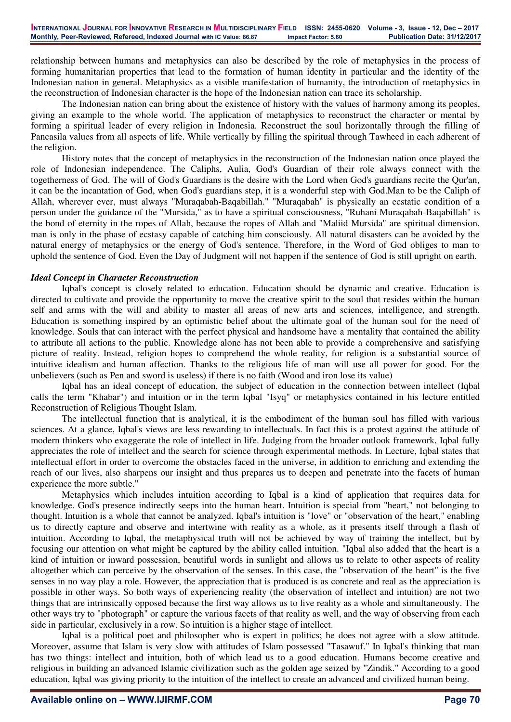relationship between humans and metaphysics can also be described by the role of metaphysics in the process of forming humanitarian properties that lead to the formation of human identity in particular and the identity of the Indonesian nation in general. Metaphysics as a visible manifestation of humanity, the introduction of metaphysics in the reconstruction of Indonesian character is the hope of the Indonesian nation can trace its scholarship.

The Indonesian nation can bring about the existence of history with the values of harmony among its peoples, giving an example to the whole world. The application of metaphysics to reconstruct the character or mental by forming a spiritual leader of every religion in Indonesia. Reconstruct the soul horizontally through the filling of Pancasila values from all aspects of life. While vertically by filling the spiritual through Tawheed in each adherent of the religion.

History notes that the concept of metaphysics in the reconstruction of the Indonesian nation once played the role of Indonesian independence. The Caliphs, Aulia, God's Guardian of their role always connect with the togetherness of God. The will of God's Guardians is the desire with the Lord when God's guardians recite the Qur'an, it can be the incantation of God, when God's guardians step, it is a wonderful step with God.Man to be the Caliph of Allah, wherever ever, must always "Muraqabah-Baqabillah." "Muraqabah" is physically an ecstatic condition of a person under the guidance of the "Mursida," as to have a spiritual consciousness, "Ruhani Muraqabah-Baqabillah" is the bond of eternity in the ropes of Allah, because the ropes of Allah and "Maliid Mursida" are spiritual dimension, man is only in the phase of ecstasy capable of catching him consciously. All natural disasters can be avoided by the natural energy of metaphysics or the energy of God's sentence. Therefore, in the Word of God obliges to man to uphold the sentence of God. Even the Day of Judgment will not happen if the sentence of God is still upright on earth.

# *Ideal Concept in Character Reconstruction*

Iqbal's concept is closely related to education. Education should be dynamic and creative. Education is directed to cultivate and provide the opportunity to move the creative spirit to the soul that resides within the human self and arms with the will and ability to master all areas of new arts and sciences, intelligence, and strength. Education is something inspired by an optimistic belief about the ultimate goal of the human soul for the need of knowledge. Souls that can interact with the perfect physical and handsome have a mentality that contained the ability to attribute all actions to the public. Knowledge alone has not been able to provide a comprehensive and satisfying picture of reality. Instead, religion hopes to comprehend the whole reality, for religion is a substantial source of intuitive idealism and human affection. Thanks to the religious life of man will use all power for good. For the unbelievers (such as Pen and sword is useless) if there is no faith (Wood and iron lose its value)

Iqbal has an ideal concept of education, the subject of education in the connection between intellect (Iqbal calls the term "Khabar") and intuition or in the term Iqbal "Isyq" or metaphysics contained in his lecture entitled Reconstruction of Religious Thought Islam.

The intellectual function that is analytical, it is the embodiment of the human soul has filled with various sciences. At a glance, Iqbal's views are less rewarding to intellectuals. In fact this is a protest against the attitude of modern thinkers who exaggerate the role of intellect in life. Judging from the broader outlook framework, Iqbal fully appreciates the role of intellect and the search for science through experimental methods. In Lecture, Iqbal states that intellectual effort in order to overcome the obstacles faced in the universe, in addition to enriching and extending the reach of our lives, also sharpens our insight and thus prepares us to deepen and penetrate into the facets of human experience the more subtle."

Metaphysics which includes intuition according to Iqbal is a kind of application that requires data for knowledge. God's presence indirectly seeps into the human heart. Intuition is special from "heart," not belonging to thought. Intuition is a whole that cannot be analyzed. Iqbal's intuition is "love" or "observation of the heart," enabling us to directly capture and observe and intertwine with reality as a whole, as it presents itself through a flash of intuition. According to Iqbal, the metaphysical truth will not be achieved by way of training the intellect, but by focusing our attention on what might be captured by the ability called intuition. "Iqbal also added that the heart is a kind of intuition or inward possession, beautiful words in sunlight and allows us to relate to other aspects of reality altogether which can perceive by the observation of the senses. In this case, the "observation of the heart" is the five senses in no way play a role. However, the appreciation that is produced is as concrete and real as the appreciation is possible in other ways. So both ways of experiencing reality (the observation of intellect and intuition) are not two things that are intrinsically opposed because the first way allows us to live reality as a whole and simultaneously. The other ways try to "photograph" or capture the various facets of that reality as well, and the way of observing from each side in particular, exclusively in a row. So intuition is a higher stage of intellect.

Iqbal is a political poet and philosopher who is expert in politics; he does not agree with a slow attitude. Moreover, assume that Islam is very slow with attitudes of Islam possessed "Tasawuf." In Iqbal's thinking that man has two things: intellect and intuition, both of which lead us to a good education. Humans become creative and religious in building an advanced Islamic civilization such as the golden age seized by "Zindik." According to a good education, Iqbal was giving priority to the intuition of the intellect to create an advanced and civilized human being.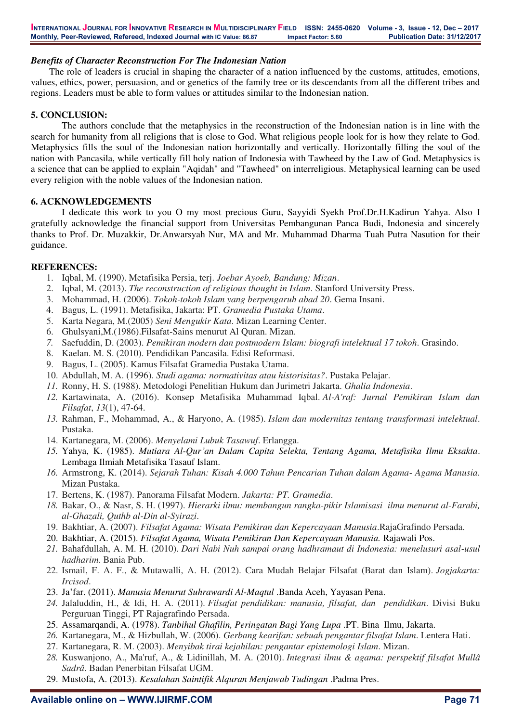# *Benefits of Character Reconstruction For The Indonesian Nation*

The role of leaders is crucial in shaping the character of a nation influenced by the customs, attitudes, emotions, values, ethics, power, persuasion, and or genetics of the family tree or its descendants from all the different tribes and regions. Leaders must be able to form values or attitudes similar to the Indonesian nation.

#### **5. CONCLUSION:**

The authors conclude that the metaphysics in the reconstruction of the Indonesian nation is in line with the search for humanity from all religions that is close to God. What religious people look for is how they relate to God. Metaphysics fills the soul of the Indonesian nation horizontally and vertically. Horizontally filling the soul of the nation with Pancasila, while vertically fill holy nation of Indonesia with Tawheed by the Law of God. Metaphysics is a science that can be applied to explain "Aqidah" and "Tawheed" on interreligious. Metaphysical learning can be used every religion with the noble values of the Indonesian nation.

### **6. ACKNOWLEDGEMENTS**

I dedicate this work to you O my most precious Guru, Sayyidi Syekh Prof.Dr.H.Kadirun Yahya. Also I gratefully acknowledge the financial support from Universitas Pembangunan Panca Budi, Indonesia and sincerely thanks to Prof. Dr. Muzakkir, Dr.Anwarsyah Nur, MA and Mr. Muhammad Dharma Tuah Putra Nasution for their guidance.

#### **REFERENCES:**

- 1. Iqbal, M. (1990). Metafisika Persia, terj. *Joebar Ayoeb, Bandung: Mizan*.
- 2. Iqbal, M. (2013). *The reconstruction of religious thought in Islam*. Stanford University Press.
- 3. Mohammad, H. (2006). *Tokoh-tokoh Islam yang berpengaruh abad 20*. Gema Insani.
- 4. Bagus, L. (1991). Metafisika, Jakarta: PT. *Gramedia Pustaka Utama*.
- 5. Karta Negara, M.(2005) *Seni Mengukir Kata*. Mizan Learning Center.
- 6. Ghulsyani,M.(1986).Filsafat-Sains menurut Al Quran. Mizan.
- *7.* Saefuddin, D. (2003). *Pemikiran modern dan postmodern Islam: biografi intelektual 17 tokoh*. Grasindo.
- 8. Kaelan. M. S. (2010). Pendidikan Pancasila. Edisi Reformasi.
- 9. Bagus, L. (2005). Kamus Filsafat Gramedia Pustaka Utama.
- 10. Abdullah, M. A. (1996). *Studi agama: normativitas atau historisitas?*. Pustaka Pelajar.
- *11.* Ronny, H. S. (1988). Metodologi Penelitian Hukum dan Jurimetri Jakarta. *Ghalia Indonesia*.
- *12.* Kartawinata, A. (2016). Konsep Metafisika Muhammad Iqbal. *Al-A'raf: Jurnal Pemikiran Islam dan Filsafat*, *13*(1), 47-64.
- *13.* Rahman, F., Mohammad, A., & Haryono, A. (1985). *Islam dan modernitas tentang transformasi intelektual*. Pustaka.
- 14. Kartanegara, M. (2006). *Menyelami Lubuk Tasawuf*. Erlangga.
- *15.* Yahya, K. (1985). *Mutiara Al-Qur'an Dalam Capita Selekta, Tentang Agama, Metafisika Ilmu Eksakta*. Lembaga Ilmiah Metafisika Tasauf Islam.
- *16.* Armstrong, K. (2014). *Sejarah Tuhan: Kisah 4.000 Tahun Pencarian Tuhan dalam Agama- Agama Manusia*. Mizan Pustaka.
- 17. Bertens, K. (1987). Panorama Filsafat Modern. *Jakarta: PT. Gramedia*.
- *18.* Bakar, O., & Nasr, S. H. (1997). *Hierarki ilmu: membangun rangka-pikir Islamisasi ilmu menurut al-Farabi, al-Ghazali, Quthb al-Din al-Syirazi*.
- 19. Bakhtiar, A. (2007). *Filsafat Agama: Wisata Pemikiran dan Kepercayaan Manusia*.RajaGrafindo Persada.
- 20. Bakhtiar, A. (2015). *Filsafat Agama, Wisata Pemikiran Dan Kepercayaan Manusia.* Rajawali Pos.
- *21.* Bahafdullah, A. M. H. (2010). *Dari Nabi Nuh sampai orang hadhramaut di Indonesia: menelusuri asal-usul hadharim*. Bania Pub.
- 22. Ismail, F. A. F., & Mutawalli, A. H. (2012). Cara Mudah Belajar Filsafat (Barat dan Islam). *Jogjakarta: Ircisod*.
- 23. Ja'far. (2011). *Manusia Menurut Suhrawardi Al-Maqtul* .Banda Aceh, Yayasan Pena.
- *24.* Jalaluddin, H., & Idi, H. A. (2011). *Filsafat pendidikan: manusia, filsafat, dan pendidikan*. Divisi Buku Perguruan Tinggi, PT Rajagrafindo Persada.
- 25. Assamarqandi, A. (1978). *Tanbihul Ghafilin, Peringatan Bagi Yang Lupa* .PT. Bina Ilmu, Jakarta.
- *26.* Kartanegara, M., & Hizbullah, W. (2006). *Gerbang kearifan: sebuah pengantar filsafat Islam*. Lentera Hati.
- 27. Kartanegara, R. M. (2003). *Menyibak tirai kejahilan: pengantar epistemologi Islam*. Mizan.
- *28.* Kuswanjono, A., Ma'ruf, A., & Lidinillah, M. A. (2010). *Integrasi ilmu & agama: perspektif filsafat Mullâ Sadrâ*. Badan Penerbitan Filsafat UGM.
- 29. Mustofa, A. (2013). *Kesalahan Saintifik Alquran Menjawab Tudingan* .Padma Pres.